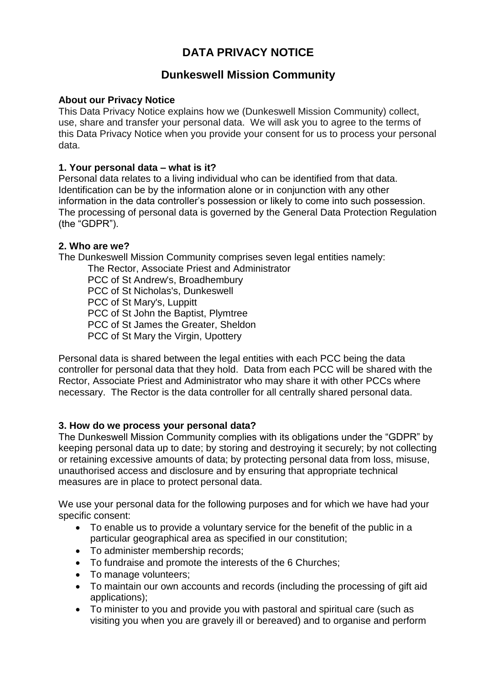# **DATA PRIVACY NOTICE**

# **Dunkeswell Mission Community**

#### **About our Privacy Notice**

This Data Privacy Notice explains how we (Dunkeswell Mission Community) collect, use, share and transfer your personal data. We will ask you to agree to the terms of this Data Privacy Notice when you provide your consent for us to process your personal data.

#### **1. Your personal data – what is it?**

Personal data relates to a living individual who can be identified from that data. Identification can be by the information alone or in conjunction with any other information in the data controller's possession or likely to come into such possession. The processing of personal data is governed by the General Data Protection Regulation (the "GDPR").

#### **2. Who are we?**

The Dunkeswell Mission Community comprises seven legal entities namely:

The Rector, Associate Priest and Administrator PCC of St Andrew's, Broadhembury

PCC of St Nicholas's, Dunkeswell

PCC of St Mary's, Luppitt

PCC of St John the Baptist, Plymtree

PCC of St James the Greater, Sheldon

PCC of St Mary the Virgin, Upottery

Personal data is shared between the legal entities with each PCC being the data controller for personal data that they hold. Data from each PCC will be shared with the Rector, Associate Priest and Administrator who may share it with other PCCs where necessary. The Rector is the data controller for all centrally shared personal data.

## **3. How do we process your personal data?**

The Dunkeswell Mission Community complies with its obligations under the "GDPR" by keeping personal data up to date; by storing and destroying it securely; by not collecting or retaining excessive amounts of data; by protecting personal data from loss, misuse, unauthorised access and disclosure and by ensuring that appropriate technical measures are in place to protect personal data.

We use your personal data for the following purposes and for which we have had your specific consent:

- To enable us to provide a voluntary service for the benefit of the public in a particular geographical area as specified in our constitution;
- To administer membership records;
- To fundraise and promote the interests of the 6 Churches;
- To manage volunteers;
- To maintain our own accounts and records (including the processing of gift aid applications);
- To minister to you and provide you with pastoral and spiritual care (such as visiting you when you are gravely ill or bereaved) and to organise and perform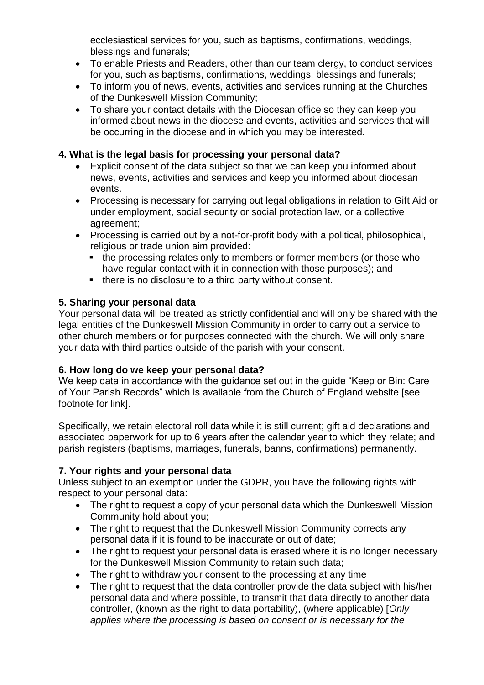ecclesiastical services for you, such as baptisms, confirmations, weddings, blessings and funerals;

- To enable Priests and Readers, other than our team clergy, to conduct services for you, such as baptisms, confirmations, weddings, blessings and funerals;
- To inform you of news, events, activities and services running at the Churches of the Dunkeswell Mission Community;
- To share your contact details with the Diocesan office so they can keep you informed about news in the diocese and events, activities and services that will be occurring in the diocese and in which you may be interested.

#### **4. What is the legal basis for processing your personal data?**

- Explicit consent of the data subject so that we can keep you informed about news, events, activities and services and keep you informed about diocesan events.
- Processing is necessary for carrying out legal obligations in relation to Gift Aid or under employment, social security or social protection law, or a collective agreement;
- Processing is carried out by a not-for-profit body with a political, philosophical, religious or trade union aim provided:
	- the processing relates only to members or former members (or those who have regular contact with it in connection with those purposes); and
	- there is no disclosure to a third party without consent.

#### **5. Sharing your personal data**

Your personal data will be treated as strictly confidential and will only be shared with the legal entities of the Dunkeswell Mission Community in order to carry out a service to other church members or for purposes connected with the church. We will only share your data with third parties outside of the parish with your consent.

#### **6. How long do we keep your personal data?**

We keep data in accordance with the guidance set out in the guide "Keep or Bin: Care of Your Parish Records" which is available from the Church of England website [see footnote for link].

Specifically, we retain electoral roll data while it is still current; gift aid declarations and associated paperwork for up to 6 years after the calendar year to which they relate; and parish registers (baptisms, marriages, funerals, banns, confirmations) permanently.

#### **7. Your rights and your personal data**

Unless subject to an exemption under the GDPR, you have the following rights with respect to your personal data:

- The right to request a copy of your personal data which the Dunkeswell Mission Community hold about you;
- The right to request that the Dunkeswell Mission Community corrects any personal data if it is found to be inaccurate or out of date;
- The right to request your personal data is erased where it is no longer necessary for the Dunkeswell Mission Community to retain such data;
- The right to withdraw your consent to the processing at any time
- The right to request that the data controller provide the data subject with his/her personal data and where possible, to transmit that data directly to another data controller, (known as the right to data portability), (where applicable) [*Only applies where the processing is based on consent or is necessary for the*